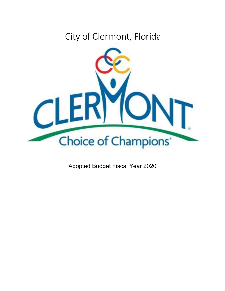# City of Clermont, Florida



Adopted Budget Fiscal Year 2020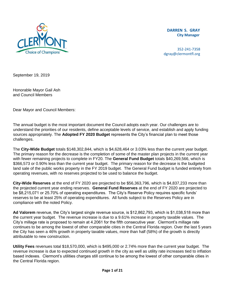

**DARREN S. GRAY City Manager** 

352-241-7358 dgray@clermontfl.org

September 19, 2019

Honorable Mayor Gail Ash and Council Members

Dear Mayor and Council Members:

The annual budget is the most important document the Council adopts each year. Our challenges are to understand the priorities of our residents, define acceptable levels of service, and establish and apply funding sources appropriately. The **Adopted FY 2020 Budget** represents the City's financial plan to meet those challenges.

The **City-Wide Budget** totals \$148,302,844, which is \$4,628,464 or 3.03% less than the current year budget. The primary reason for the decrease is the completion of some of the master plan projects in the current year with fewer remaining projects to complete in FY20. The **General Fund Budget** totals \$40,269,566, which is \$366,573 or 0.90% less than the current year budget. The primary reason for the decrease is the budgeted land sale of the public works property in the FY 2019 budget. The General Fund budget is funded entirely from operating revenues, with no reserves projected to be used to balance the budget.

**City-Wide Reserves** at the end of FY 2020 are projected to be \$56,363,796, which is \$4,837,233 more than the projected current year ending reserves. **General Fund Reserves** at the end of FY 2020 are projected to be \$8,215,071 or 25.70% of operating expenditures. The City's Reserve Policy requires specific funds' reserves to be at least 25% of operating expenditures. All funds subject to the Reserves Policy are in compliance with the noted Policy.

**Ad Valorem** revenue, the City's largest single revenue source, is \$12,862,793, which is \$1,038,518 more than the current year budget. The revenue increase is due to a 9.61% increase in property taxable values. The City's millage rate is proposed to remain at 4.2061 for the fifth consecutive year. Clermont's millage rate continues to be among the lowest of other comparable cities in the Central Florida region. Over the last 5 years the City has seen a 46% growth in property taxable values, more than half (58%) of the growth is directly attributable to new construction.

**Utility Fees** revenues total \$18,570,000, which is \$495,000 or 2.74% more than the current year budget. The revenue increase is due to expected continued growth in the city as well as utility rate increases tied to inflation based indexes. Clermont's utilities charges still continue to be among the lowest of other comparable cities in the Central Florida region.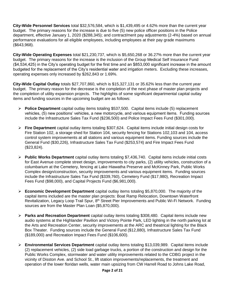**City-Wide Personnel Services** total \$32,576,584, which is \$1,439,495 or 4.62% more than the current year budget. The primary reasons for the increase is due to five (5) new police officer positions in the Police department, effective January 1, 2020 (\$288,345); and contract/merit pay adjustments (2-4%) based on annual performance evaluations for all eligible employees, including employees at their pay grade maximums (\$643,968).

**City-Wide Operating Expenses** total \$21,230,737, which is \$5,650,268 or 36.27% more than the current year budget. The primary reasons for the increase is the inclusion of the Group Medical Self Insurance Fund (\$4,534,425) in the City's operating budget for the first time and an \$853,000 significant increase in the amount budgeted for the replacement of the City's residential water and irrigation meters. Excluding these increases, operating expenses only increased by \$262,843 or 1.69%.

**City-Wide Capital Outlay** totals \$27,707,860, which is \$15,327,131 or 35.62% less than the current year budget. The primary reason for the decrease is the completion of the next phase of master plan projects and the completion of utility expansion projects. The highlights of some significant departmental capital outlay items and funding sources in the upcoming budget are as follows:

- **Police Department** capital outlay items totaling \$537,500. Capital items include (5) replacement vehicles, (5) new positions' vehicles, a new motorcycle, and various equipment items. Funding sources include the Infrastructure Sales Tax Fund (\$236,500) and Police Impact Fees Fund (\$301,000).
- **Fire Department** capital outlay items totaling \$307,624. Capital items include initial design costs for Fire Station 102, a storage shed for Station 104, security fencing for Stations 102,103 and 104, access control system improvements at all stations and various equipment items. Funding sources include the General Fund (\$30,226), Infrastructure Sales Tax Fund (\$253,574) and Fire Impact Fees Fund (\$23,824).
- **Public Works Department** capital outlay items totaling \$7,436,740. Capital items include initial costs for East Avenue complete street design, improvements to city parks, (2) utility vehicles, construction of a columbarium at the Cemetery, fencing at Lake Hiawatha Preserve and McKinney Park, Public Works Complex design/construction, security improvements and various equipment items. Funding sources include the Infrastructure Sales Tax Fund (\$339,760), Cemetery Fund (\$17,980), Recreation Impact Fees Fund (\$98,000), and Capital Projects Fund (\$6,981,000).
- **Economic Development Department** capital outlay items totaling \$5,870,000. The majority of the capital items included are the master plan projects: Boat Ramp Relocation, Downtown Waterfront Revitalization, Legacy Loop Trail Spur, 8<sup>th</sup> Street Pier Improvements and Public Wi-Fi Network. Funding sources are from the Master Plan Loan (\$5,870,000).
- **Parks and Recreation Department** capital outlay items totaling \$308,480. Capital items include new audio systems at the Highlander Pavilion and Victory Pointe Park, LED lighting in the north parking lot at the Arts and Recreation Center, security improvements at the ARC and theatrical lighting for the Black Box Theater. Funding sources include the General Fund (\$12,880), Infrastructure Sales Tax Fund (\$189,000) and Recreation Impact Fees Fund (\$106,600).
- **Environmental Services Department** capital outlay items totaling \$13,039,989. Capital items include (2) replacement vehicles, (2) side load garbage trucks, a portion of the construction and design for the Public Works Complex, stormwater and water utility improvements related to the CDBG project in the vicinity of Disston Ave. and School St., lift station improvements/replacements, the treatment and operation of the lower floridan wells, water main upsizing from CW Harrell Road to Johns Lake Road,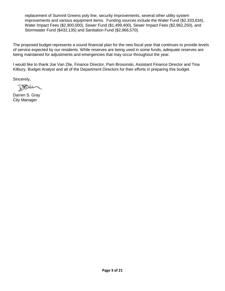replacement of Summit Greens poly line, security improvements, several other utility system improvements and various equipment items. Funding sources include the Water Fund (\$2,333,634), Water Impact Fees (\$2,900,000), Sewer Fund (\$1,499,400), Sewer Impact Fees (\$2,962,250), and Stormwater Fund (\$432,135) and Sanitation Fund (\$2,966,570).

The proposed budget represents a sound financial plan for the new fiscal year that continues to provide levels of service expected by our residents. While reserves are being used in some funds, adequate reserves are being maintained for adjustments and emergencies that may occur throughout the year.

I would like to thank Joe Van Zile, Finance Director, Pam Brosonski, Assistant Finance Director and Tina Kilbury, Budget Analyst and all of the Department Directors for their efforts in preparing this budget.

Sincerely,

 $B\rightarrow\infty$ 

Darren S. Gray City Manager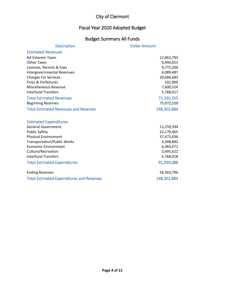#### Fiscal Year 2020 Adopted Budget

## Budget Summary All Funds

| <b>Description</b>                               | <b>Dollar Amount</b> |
|--------------------------------------------------|----------------------|
| <b>Estimated Revenues</b>                        |                      |
| <b>Ad Valorem Taxes</b>                          | 12,862,793           |
| <b>Other Taxes</b>                               | 9,446,651            |
| Licenses, Permits & Fees                         | 9,775,200            |
| <b>Intergovernmental Revenues</b>                | 6,089,487            |
| <b>Charges For Services</b>                      | 20,686,683           |
| Fines & Forfeitures                              | 101,000              |
| Miscellaneous Revenue                            | 7,600,524            |
| <b>Interfund Transfers</b>                       | 5,768,017            |
| <b>Total Estimated Revenues</b>                  | 72,330,355           |
| <b>Beginning Reserves</b>                        | 75,972,529           |
| <b>Total Estimated Revenues and Reserves</b>     | 148,302,884          |
|                                                  |                      |
| <b>Estimated Expenditures</b>                    |                      |
| <b>General Government</b>                        | 12,259,394           |
| <b>Public Safety</b>                             | 22,179,465           |
| <b>Physical Environment</b>                      | 37,473,636           |
| <b>Transportation/Public Works</b>               | 4,398,882            |
| <b>Economic Environment</b>                      | 6,364,071            |
| Culture/Recreation<br><b>Interfund Transfers</b> | 3,495,622            |
|                                                  | 5,768,018            |
| <b>Total Estimated Expenditures</b>              | 91,939,088           |
| <b>Ending Reserves</b>                           | 56,363,796           |
| <b>Total Estimated Expenditures and Reserves</b> | 148,302,884          |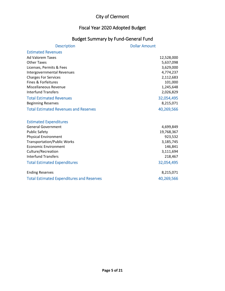## Fiscal Year 2020 Adopted Budget

#### Budget Summary by Fund-General Fund

| <b>Description</b>                               | <b>Dollar Amount</b> |
|--------------------------------------------------|----------------------|
| <b>Estimated Revenues</b>                        |                      |
| <b>Ad Valorem Taxes</b>                          | 12,528,000           |
| <b>Other Taxes</b>                               | 5,637,098            |
| Licenses, Permits & Fees                         | 3,629,000            |
| <b>Intergovernmental Revenues</b>                | 4,774,237            |
| <b>Charges For Services</b>                      | 2,112,683            |
| Fines & Forfeitures                              | 101,000              |
| Miscellaneous Revenue                            | 1,245,648            |
| <b>Interfund Transfers</b>                       | 2,026,829            |
| <b>Total Estimated Revenues</b>                  | 32,054,495           |
| <b>Beginning Reserves</b>                        | 8,215,071            |
| <b>Total Estimated Revenues and Reserves</b>     | 40,269,566           |
|                                                  |                      |
| <b>Estimated Expenditures</b>                    |                      |
| <b>General Government</b>                        | 4,699,849            |
| <b>Public Safety</b>                             | 19,768,367           |
| <b>Physical Environment</b>                      | 923,532              |
| <b>Transportation/Public Works</b>               | 3,185,745            |
| <b>Economic Environment</b>                      | 146,841              |
| Culture/Recreation                               | 3,111,694            |
| <b>Interfund Transfers</b>                       | 218,467              |
| <b>Total Estimated Expenditures</b>              | 32,054,495           |
| <b>Ending Reserves</b>                           | 8,215,071            |
| <b>Total Estimated Expenditures and Reserves</b> | 40,269,566           |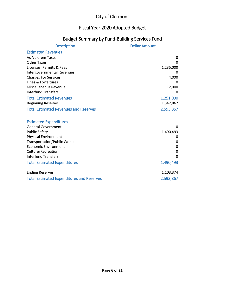#### Fiscal Year 2020 Adopted Budget

#### Budget Summary by Fund-Building Services Fund

| <b>Description</b>                               | <b>Dollar Amount</b> |
|--------------------------------------------------|----------------------|
| <b>Estimated Revenues</b>                        |                      |
| <b>Ad Valorem Taxes</b>                          | 0                    |
| <b>Other Taxes</b>                               | 0                    |
| Licenses, Permits & Fees                         | 1,235,000            |
| Intergovernmental Revenues                       | 0                    |
| <b>Charges For Services</b>                      | 4,000                |
| Fines & Forfeitures                              |                      |
| Miscellaneous Revenue                            | 12,000               |
| <b>Interfund Transfers</b>                       | $\Omega$             |
| <b>Total Estimated Revenues</b>                  | 1,251,000            |
| <b>Beginning Reserves</b>                        | 1,342,867            |
| <b>Total Estimated Revenues and Reserves</b>     | 2,593,867            |
| <b>Estimated Expenditures</b>                    |                      |
| <b>General Government</b>                        | $\Omega$             |
| <b>Public Safety</b>                             | 1,490,493            |
| <b>Physical Environment</b>                      | 0                    |
| <b>Transportation/Public Works</b>               | 0                    |
| <b>Economic Environment</b>                      | 0                    |
| Culture/Recreation                               | 0                    |
| <b>Interfund Transfers</b>                       | $\Omega$             |
| <b>Total Estimated Expenditures</b>              | 1,490,493            |
| <b>Ending Reserves</b>                           | 1,103,374            |
| <b>Total Estimated Expenditures and Reserves</b> | 2,593,867            |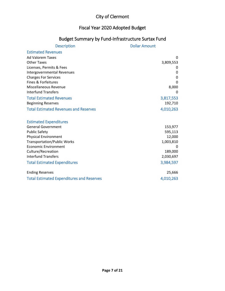#### Fiscal Year 2020 Adopted Budget

#### Budget Summary by Fund-Infrastructure Surtax Fund

| <b>Description</b>                               | <b>Dollar Amount</b> |
|--------------------------------------------------|----------------------|
| <b>Estimated Revenues</b>                        |                      |
| <b>Ad Valorem Taxes</b>                          | $\Omega$             |
| <b>Other Taxes</b>                               | 3,809,553            |
| Licenses, Permits & Fees                         |                      |
| Intergovernmental Revenues                       | 0                    |
| <b>Charges For Services</b>                      | 0                    |
| Fines & Forfeitures                              | $\Omega$             |
| Miscellaneous Revenue                            | 8,000                |
| <b>Interfund Transfers</b>                       | $\Omega$             |
| <b>Total Estimated Revenues</b>                  | 3,817,553            |
| <b>Beginning Reserves</b>                        | 192,710              |
| <b>Total Estimated Revenues and Reserves</b>     | 4,010,263            |
|                                                  |                      |
| <b>Estimated Expenditures</b>                    |                      |
| <b>General Government</b>                        | 153,977              |
| <b>Public Safety</b>                             | 595,113              |
| <b>Physical Environment</b>                      | 12,000               |
| <b>Transportation/Public Works</b>               | 1,003,810            |
| <b>Economic Environment</b>                      | 0                    |
| Culture/Recreation                               | 189,000              |
| <b>Interfund Transfers</b>                       | 2,030,697            |
| <b>Total Estimated Expenditures</b>              | 3,984,597            |
| <b>Ending Reserves</b>                           | 25,666               |
| <b>Total Estimated Expenditures and Reserves</b> | 4,010,263            |
|                                                  |                      |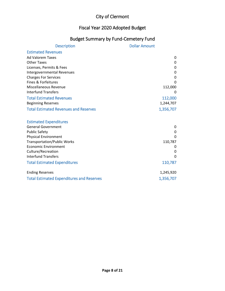#### Fiscal Year 2020 Adopted Budget

#### Budget Summary by Fund-Cemetery Fund

| <b>Description</b>                               | <b>Dollar Amount</b> |
|--------------------------------------------------|----------------------|
| <b>Estimated Revenues</b>                        |                      |
| <b>Ad Valorem Taxes</b>                          | 0                    |
| <b>Other Taxes</b>                               | 0                    |
| Licenses, Permits & Fees                         | 0                    |
| <b>Intergovernmental Revenues</b>                | 0                    |
| <b>Charges For Services</b>                      | 0                    |
| Fines & Forfeitures                              | $\Omega$             |
| Miscellaneous Revenue                            | 112,000              |
| <b>Interfund Transfers</b>                       | 0                    |
| <b>Total Estimated Revenues</b>                  | 112,000              |
| <b>Beginning Reserves</b>                        | 1,244,707            |
| <b>Total Estimated Revenues and Reserves</b>     | 1,356,707            |
|                                                  |                      |
| <b>Estimated Expenditures</b>                    |                      |
| <b>General Government</b>                        | 0                    |
| <b>Public Safety</b>                             | 0                    |
| <b>Physical Environment</b>                      | 0                    |
| <b>Transportation/Public Works</b>               | 110,787              |
| <b>Economic Environment</b>                      | 0                    |
| Culture/Recreation                               | 0                    |
| <b>Interfund Transfers</b>                       | $\Omega$             |
| <b>Total Estimated Expenditures</b>              | 110,787              |
| <b>Ending Reserves</b>                           | 1,245,920            |
| <b>Total Estimated Expenditures and Reserves</b> | 1,356,707            |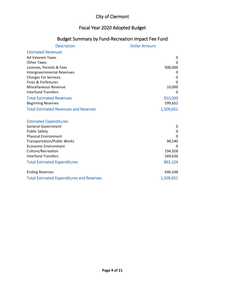## Fiscal Year 2020 Adopted Budget

#### Budget Summary by Fund-Recreation Impact Fee Fund

| <b>Description</b>                               | <b>Dollar Amount</b> |
|--------------------------------------------------|----------------------|
| <b>Estimated Revenues</b>                        |                      |
| <b>Ad Valorem Taxes</b>                          | 0                    |
| <b>Other Taxes</b>                               | 0                    |
| Licenses, Permits & Fees                         | 900,000              |
| <b>Intergovernmental Revenues</b>                | 0                    |
| <b>Charges For Services</b>                      | 0                    |
| Fines & Forfeitures                              | 0                    |
| Miscellaneous Revenue                            | 10,000               |
| <b>Interfund Transfers</b>                       | 0                    |
| <b>Total Estimated Revenues</b>                  | 910,000              |
| <b>Beginning Reserves</b>                        | 599,652              |
| <b>Total Estimated Revenues and Reserves</b>     | 1,509,652            |
| <b>Estimated Expenditures</b>                    |                      |
| <b>General Government</b>                        | 0                    |
| <b>Public Safety</b>                             | 0                    |
| <b>Physical Environment</b>                      | 0                    |
| <b>Transportation/Public Works</b>               | 98,540               |
| <b>Economic Environment</b>                      | 0                    |
| Culture/Recreation                               | 194,928              |
| <b>Interfund Transfers</b>                       | 569,636              |
| <b>Total Estimated Expenditures</b>              | 863,104              |
| <b>Ending Reserves</b>                           | 646,548              |
| <b>Total Estimated Expenditures and Reserves</b> | 1,509,652            |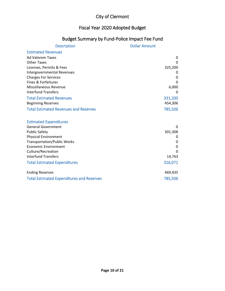## Fiscal Year 2020 Adopted Budget

#### Budget Summary by Fund-Police Impact Fee Fund

| <b>Description</b>                               | <b>Dollar Amount</b> |
|--------------------------------------------------|----------------------|
| <b>Estimated Revenues</b>                        |                      |
| <b>Ad Valorem Taxes</b>                          | 0                    |
| <b>Other Taxes</b>                               | 0                    |
| Licenses, Permits & Fees                         | 325,200              |
| Intergovernmental Revenues                       | 0                    |
| <b>Charges For Services</b>                      | 0                    |
| Fines & Forfeitures                              | $\Omega$             |
| Miscellaneous Revenue                            | 6,000                |
| <b>Interfund Transfers</b>                       | 0                    |
| <b>Total Estimated Revenues</b>                  | 331,200              |
| <b>Beginning Reserves</b>                        | 454,306              |
| <b>Total Estimated Revenues and Reserves</b>     | 785,506              |
|                                                  |                      |
| <b>Estimated Expenditures</b>                    |                      |
| <b>General Government</b>                        | 0                    |
| <b>Public Safety</b>                             | 301,308              |
| <b>Physical Environment</b>                      | 0                    |
| <b>Transportation/Public Works</b>               | 0                    |
| <b>Economic Environment</b>                      | $\mathbf 0$          |
| Culture/Recreation                               | $\Omega$             |
| <b>Interfund Transfers</b>                       | 14,763               |
| <b>Total Estimated Expenditures</b>              | 316,071              |
| <b>Ending Reserves</b>                           | 469,435              |
|                                                  |                      |
| <b>Total Estimated Expenditures and Reserves</b> | 785,506              |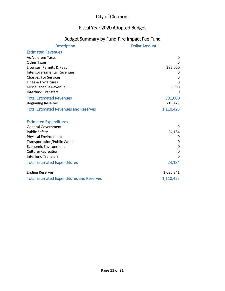#### Fiscal Year 2020 Adopted Budget

#### Budget Summary by Fund-Fire Impact Fee Fund

| <b>Description</b>                               | <b>Dollar Amount</b> |
|--------------------------------------------------|----------------------|
| <b>Estimated Revenues</b>                        |                      |
| <b>Ad Valorem Taxes</b>                          | 0                    |
| <b>Other Taxes</b>                               | 0                    |
| Licenses, Permits & Fees                         | 385,000              |
| Intergovernmental Revenues                       | 0                    |
| <b>Charges For Services</b>                      | 0                    |
| Fines & Forfeitures                              | $\Omega$             |
| Miscellaneous Revenue                            | 6,000                |
| <b>Interfund Transfers</b>                       | 0                    |
| <b>Total Estimated Revenues</b>                  | 391,000              |
| <b>Beginning Reserves</b>                        | 719,425              |
| <b>Total Estimated Revenues and Reserves</b>     | 1,110,425            |
| <b>Estimated Expenditures</b>                    |                      |
| <b>General Government</b>                        | 0                    |
| <b>Public Safety</b>                             | 24,184               |
| <b>Physical Environment</b>                      | 0                    |
| <b>Transportation/Public Works</b>               | 0                    |
| <b>Economic Environment</b>                      | 0                    |
| Culture/Recreation                               | 0                    |
| <b>Interfund Transfers</b>                       | $\Omega$             |
| <b>Total Estimated Expenditures</b>              | 24,184               |
| <b>Ending Reserves</b>                           | 1,086,241            |
| <b>Total Estimated Expenditures and Reserves</b> | 1,110,425            |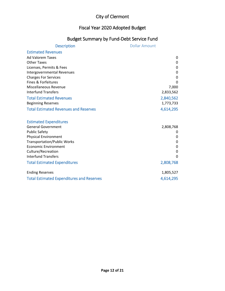## Fiscal Year 2020 Adopted Budget

#### Budget Summary by Fund-Debt Service Fund

| <b>Description</b>                               | <b>Dollar Amount</b> |
|--------------------------------------------------|----------------------|
| <b>Estimated Revenues</b>                        |                      |
| <b>Ad Valorem Taxes</b>                          | 0                    |
| <b>Other Taxes</b>                               | 0                    |
| Licenses, Permits & Fees                         | 0                    |
| <b>Intergovernmental Revenues</b>                | 0                    |
| <b>Charges For Services</b>                      | 0                    |
| Fines & Forfeitures                              | 0                    |
| Miscellaneous Revenue                            | 7,000                |
| <b>Interfund Transfers</b>                       | 2,833,562            |
| <b>Total Estimated Revenues</b>                  | 2,840,562            |
| <b>Beginning Reserves</b>                        | 1,773,733            |
| <b>Total Estimated Revenues and Reserves</b>     | 4,614,295            |
|                                                  |                      |
| <b>Estimated Expenditures</b>                    |                      |
| <b>General Government</b>                        | 2,808,768            |
| <b>Public Safety</b>                             | 0                    |
| <b>Physical Environment</b>                      | 0                    |
| <b>Transportation/Public Works</b>               | 0                    |
| <b>Economic Environment</b>                      | 0                    |
| Culture/Recreation                               | 0                    |
| <b>Interfund Transfers</b>                       | O                    |
| <b>Total Estimated Expenditures</b>              | 2,808,768            |
| <b>Ending Reserves</b>                           | 1,805,527            |
| <b>Total Estimated Expenditures and Reserves</b> | 4,614,295            |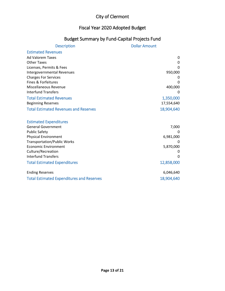#### Fiscal Year 2020 Adopted Budget

#### Budget Summary by Fund-Capital Projects Fund

| <b>Description</b>                               | <b>Dollar Amount</b> |
|--------------------------------------------------|----------------------|
| <b>Estimated Revenues</b>                        |                      |
| <b>Ad Valorem Taxes</b>                          | 0                    |
| <b>Other Taxes</b>                               | $\mathbf{0}$         |
| Licenses, Permits & Fees                         | $\Omega$             |
| Intergovernmental Revenues                       | 950,000              |
| <b>Charges For Services</b>                      | 0                    |
| Fines & Forfeitures                              | O                    |
| Miscellaneous Revenue                            | 400,000              |
| <b>Interfund Transfers</b>                       | O                    |
| <b>Total Estimated Revenues</b>                  | 1,350,000            |
| <b>Beginning Reserves</b>                        | 17,554,640           |
| <b>Total Estimated Revenues and Reserves</b>     | 18,904,640           |
|                                                  |                      |
| <b>Estimated Expenditures</b>                    |                      |
| <b>General Government</b>                        | 7,000                |
| <b>Public Safety</b>                             | 0                    |
| <b>Physical Environment</b>                      | 6,981,000            |
| <b>Transportation/Public Works</b>               |                      |
| <b>Economic Environment</b>                      | 5,870,000            |
| Culture/Recreation                               | 0                    |
| <b>Interfund Transfers</b>                       | 0                    |
| <b>Total Estimated Expenditures</b>              | 12,858,000           |
| <b>Ending Reserves</b>                           | 6,046,640            |
| <b>Total Estimated Expenditures and Reserves</b> | 18,904,640           |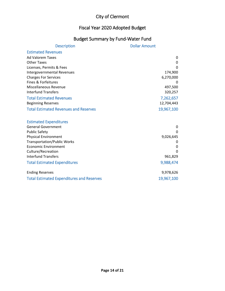## Fiscal Year 2020 Adopted Budget

## Budget Summary by Fund-Water Fund

| <b>Description</b>                               | <b>Dollar Amount</b> |
|--------------------------------------------------|----------------------|
| <b>Estimated Revenues</b>                        |                      |
| <b>Ad Valorem Taxes</b>                          | 0                    |
| <b>Other Taxes</b>                               | 0                    |
| Licenses, Permits & Fees                         | 0                    |
| Intergovernmental Revenues                       | 174,900              |
| <b>Charges For Services</b>                      | 6,270,000            |
| Fines & Forfeitures                              | 0                    |
| Miscellaneous Revenue                            | 497,500              |
| <b>Interfund Transfers</b>                       | 320,257              |
| <b>Total Estimated Revenues</b>                  | 7,262,657            |
| <b>Beginning Reserves</b>                        | 12,704,443           |
| <b>Total Estimated Revenues and Reserves</b>     | 19,967,100           |
|                                                  |                      |
| <b>Estimated Expenditures</b>                    |                      |
| <b>General Government</b>                        | 0                    |
| <b>Public Safety</b>                             | $\Omega$             |
| <b>Physical Environment</b>                      | 9,026,645            |
| <b>Transportation/Public Works</b>               | 0                    |
| <b>Economic Environment</b>                      | 0                    |
| Culture/Recreation                               | n                    |
| <b>Interfund Transfers</b>                       | 961,829              |
| <b>Total Estimated Expenditures</b>              | 9,988,474            |
| <b>Ending Reserves</b>                           | 9,978,626            |
| <b>Total Estimated Expenditures and Reserves</b> | 19,967,100           |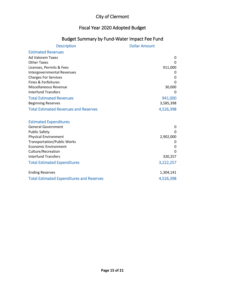#### Fiscal Year 2020 Adopted Budget

## Budget Summary by Fund-Water Impact Fee Fund

| <b>Description</b>                               | <b>Dollar Amount</b> |
|--------------------------------------------------|----------------------|
| <b>Estimated Revenues</b>                        |                      |
| <b>Ad Valorem Taxes</b>                          | 0                    |
| <b>Other Taxes</b>                               | $\Omega$             |
| Licenses, Permits & Fees                         | 911,000              |
| Intergovernmental Revenues                       | 0                    |
| <b>Charges For Services</b>                      | 0                    |
| Fines & Forfeitures                              | $\Omega$             |
| Miscellaneous Revenue                            | 30,000               |
| <b>Interfund Transfers</b>                       | 0                    |
| <b>Total Estimated Revenues</b>                  | 941,000              |
| <b>Beginning Reserves</b>                        | 3,585,398            |
| <b>Total Estimated Revenues and Reserves</b>     | 4,526,398            |
|                                                  |                      |
| <b>Estimated Expenditures</b>                    |                      |
| <b>General Government</b>                        | 0                    |
| <b>Public Safety</b>                             | $\Omega$             |
| <b>Physical Environment</b>                      | 2,902,000            |
| <b>Transportation/Public Works</b>               | 0                    |
| <b>Economic Environment</b>                      | 0                    |
| Culture/Recreation                               | $\Omega$             |
| <b>Interfund Transfers</b>                       | 320,257              |
| <b>Total Estimated Expenditures</b>              | 3,222,257            |
| <b>Ending Reserves</b>                           | 1,304,141            |
| <b>Total Estimated Expenditures and Reserves</b> | 4,526,398            |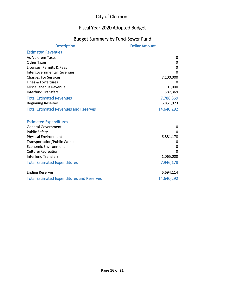## Fiscal Year 2020 Adopted Budget

## Budget Summary by Fund-Sewer Fund

| <b>Description</b>                                | <b>Dollar Amount</b> |
|---------------------------------------------------|----------------------|
| <b>Estimated Revenues</b>                         |                      |
| <b>Ad Valorem Taxes</b>                           | 0                    |
| <b>Other Taxes</b>                                | 0                    |
| Licenses, Permits & Fees                          | 0                    |
| Intergovernmental Revenues                        | $\Omega$             |
| <b>Charges For Services</b>                       | 7,100,000            |
| Fines & Forfeitures                               |                      |
| <b>Miscellaneous Revenue</b>                      | 101,000              |
| <b>Interfund Transfers</b>                        | 587,369              |
| <b>Total Estimated Revenues</b>                   | 7,788,369            |
| <b>Beginning Reserves</b>                         | 6,851,923            |
| <b>Total Estimated Revenues and Reserves</b>      | 14,640,292           |
|                                                   |                      |
| <b>Estimated Expenditures</b>                     |                      |
| <b>General Government</b>                         | 0                    |
| <b>Public Safety</b>                              | O                    |
| <b>Physical Environment</b>                       | 6,881,178            |
| <b>Transportation/Public Works</b>                | 0                    |
| <b>Economic Environment</b><br>Culture/Recreation | 0<br>$\Omega$        |
| <b>Interfund Transfers</b>                        | 1,065,000            |
|                                                   |                      |
| <b>Total Estimated Expenditures</b>               | 7,946,178            |
| <b>Ending Reserves</b>                            | 6,694,114            |
| <b>Total Estimated Expenditures and Reserves</b>  | 14,640,292           |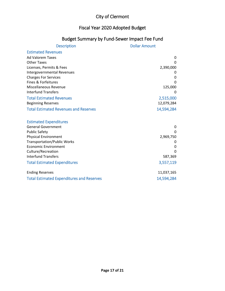#### Fiscal Year 2020 Adopted Budget

#### Budget Summary by Fund-Sewer Impact Fee Fund

| <b>Description</b>                               | <b>Dollar Amount</b> |
|--------------------------------------------------|----------------------|
| <b>Estimated Revenues</b>                        |                      |
| <b>Ad Valorem Taxes</b>                          | 0                    |
| <b>Other Taxes</b>                               | $\Omega$             |
| Licenses, Permits & Fees                         | 2,390,000            |
| Intergovernmental Revenues                       |                      |
| <b>Charges For Services</b>                      | 0                    |
| Fines & Forfeitures                              | $\Omega$             |
| Miscellaneous Revenue                            | 125,000              |
| <b>Interfund Transfers</b>                       | 0                    |
| <b>Total Estimated Revenues</b>                  | 2,515,000            |
| <b>Beginning Reserves</b>                        | 12,079,284           |
| <b>Total Estimated Revenues and Reserves</b>     | 14,594,284           |
|                                                  |                      |
| <b>Estimated Expenditures</b>                    |                      |
| <b>General Government</b>                        | 0                    |
| <b>Public Safety</b>                             | $\Omega$             |
| <b>Physical Environment</b>                      | 2,969,750            |
| <b>Transportation/Public Works</b>               | 0                    |
| <b>Economic Environment</b>                      | 0                    |
| Culture/Recreation                               | $\Omega$             |
| <b>Interfund Transfers</b>                       | 587,369              |
| <b>Total Estimated Expenditures</b>              | 3,557,119            |
| <b>Ending Reserves</b>                           | 11,037,165           |
| <b>Total Estimated Expenditures and Reserves</b> | 14,594,284           |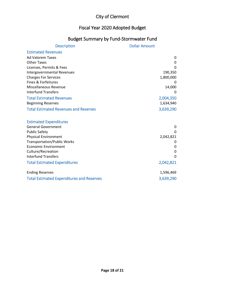## Fiscal Year 2020 Adopted Budget

#### Budget Summary by Fund-Stormwater Fund

| <b>Description</b>                               | <b>Dollar Amount</b> |
|--------------------------------------------------|----------------------|
| <b>Estimated Revenues</b>                        |                      |
| <b>Ad Valorem Taxes</b>                          | 0                    |
| <b>Other Taxes</b>                               | 0                    |
| Licenses, Permits & Fees                         | <sup>0</sup>         |
| Intergovernmental Revenues                       | 190,350              |
| <b>Charges For Services</b>                      | 1,800,000            |
| Fines & Forfeitures                              |                      |
| <b>Miscellaneous Revenue</b>                     | 14,000               |
| <b>Interfund Transfers</b>                       | 0                    |
| <b>Total Estimated Revenues</b>                  | 2,004,350            |
| <b>Beginning Reserves</b>                        | 1,634,940            |
| <b>Total Estimated Revenues and Reserves</b>     | 3,639,290            |
| <b>Estimated Expenditures</b>                    |                      |
| <b>General Government</b>                        | 0                    |
| <b>Public Safety</b>                             | 0                    |
| <b>Physical Environment</b>                      | 2,042,821            |
| <b>Transportation/Public Works</b>               | O                    |
| <b>Economic Environment</b>                      | 0                    |
| Culture/Recreation                               | 0                    |
| <b>Interfund Transfers</b>                       | $\Omega$             |
| <b>Total Estimated Expenditures</b>              | 2,042,821            |
|                                                  |                      |
| <b>Ending Reserves</b>                           | 1,596,469            |
| <b>Total Estimated Expenditures and Reserves</b> | 3,639,290            |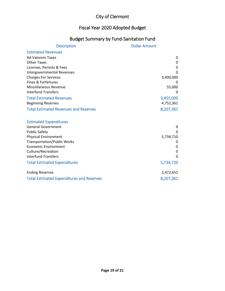## Fiscal Year 2020 Adopted Budget

#### Budget Summary by Fund-Sanitation Fund

| <b>Description</b>                               | <b>Dollar Amount</b> |
|--------------------------------------------------|----------------------|
| <b>Estimated Revenues</b>                        |                      |
| <b>Ad Valorem Taxes</b>                          | 0                    |
| <b>Other Taxes</b>                               | 0                    |
| Licenses, Permits & Fees                         | 0                    |
| Intergovernmental Revenues                       | $\Omega$             |
| <b>Charges For Services</b>                      | 3,400,000            |
| Fines & Forfeitures                              |                      |
| Miscellaneous Revenue                            | 55,000               |
| <b>Interfund Transfers</b>                       | 0                    |
| <b>Total Estimated Revenues</b>                  | 3,455,000            |
| <b>Beginning Reserves</b>                        | 4,752,361            |
| <b>Total Estimated Revenues and Reserves</b>     | 8,207,361            |
|                                                  |                      |
| <b>Estimated Expenditures</b>                    |                      |
| <b>General Government</b>                        | 0                    |
| <b>Public Safety</b>                             | $\Omega$             |
| <b>Physical Environment</b>                      | 5,734,710            |
| <b>Transportation/Public Works</b>               | 0                    |
| <b>Economic Environment</b>                      | 0                    |
| Culture/Recreation                               | 0                    |
| <b>Interfund Transfers</b>                       | $\Omega$             |
| <b>Total Estimated Expenditures</b>              | 5,734,710            |
| <b>Ending Reserves</b>                           | 2,472,651            |
| <b>Total Estimated Expenditures and Reserves</b> | 8,207,361            |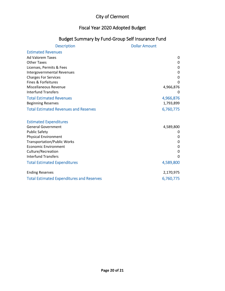#### Fiscal Year 2020 Adopted Budget

#### Budget Summary by Fund-Group Self Insurance Fund

| <b>Description</b>                               | <b>Dollar Amount</b> |
|--------------------------------------------------|----------------------|
| <b>Estimated Revenues</b>                        |                      |
| <b>Ad Valorem Taxes</b>                          | 0                    |
| <b>Other Taxes</b>                               | 0                    |
| Licenses, Permits & Fees                         | 0                    |
| Intergovernmental Revenues                       | 0                    |
| <b>Charges For Services</b>                      | 0                    |
| Fines & Forfeitures                              | $\Omega$             |
| <b>Miscellaneous Revenue</b>                     | 4,966,876            |
| <b>Interfund Transfers</b>                       | 0                    |
| <b>Total Estimated Revenues</b>                  | 4,966,876            |
| <b>Beginning Reserves</b>                        | 1,793,899            |
| <b>Total Estimated Revenues and Reserves</b>     | 6,760,775            |
|                                                  |                      |
| <b>Estimated Expenditures</b>                    |                      |
| <b>General Government</b>                        | 4,589,800            |
| <b>Public Safety</b>                             | 0                    |
| <b>Physical Environment</b>                      | 0                    |
| <b>Transportation/Public Works</b>               | 0                    |
| <b>Economic Environment</b>                      | $\mathbf 0$          |
| Culture/Recreation                               | 0                    |
| <b>Interfund Transfers</b>                       | $\Omega$             |
| <b>Total Estimated Expenditures</b>              | 4,589,800            |
| <b>Ending Reserves</b>                           | 2,170,975            |
| <b>Total Estimated Expenditures and Reserves</b> | 6,760,775            |